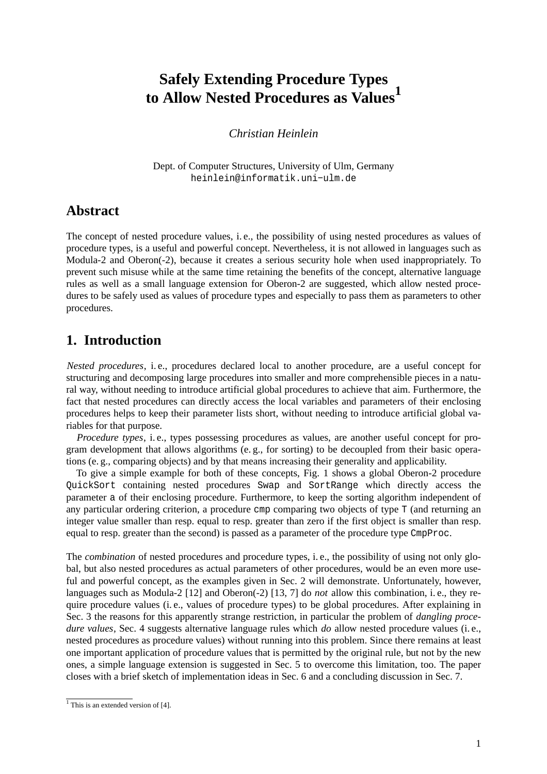# **Safely Extending Procedure Types to Allow Nested Procedures as Values<sup>1</sup>**

#### *Christian Heinlein*

Dept. of Computer Structures, University of Ulm, Germany heinlein@informatik.uni−ulm.de

### **Abstract**

The concept of nested procedure values, i. e., the possibility of using nested procedures as values of procedure types, is a useful and powerful concept. Nevertheless, it is not allowed in languages such as Modula-2 and Oberon(-2), because it creates a serious security hole when used inappropriately. To prevent such misuse while at the same time retaining the benefits of the concept, alternative language rules as well as a small language extension for Oberon-2 are suggested, which allow nested procedures to be safely used as values of procedure types and especially to pass them as parameters to other procedures.

### **1. Introduction**

*Nested procedures*, i. e., procedures declared local to another procedure, are a useful concept for structuring and decomposing large procedures into smaller and more comprehensible pieces in a natural way, without needing to introduce artificial global procedures to achieve that aim. Furthermore, the fact that nested procedures can directly access the local variables and parameters of their enclosing procedures helps to keep their parameter lists short, without needing to introduce artificial global variables for that purpose.

*Procedure types*, i.e., types possessing procedures as values, are another useful concept for program development that allows algorithms (e. g., for sorting) to be decoupled from their basic operations (e. g., comparing objects) and by that means increasing their generality and applicability.

To give a simple example for both of these concepts, Fig. 1 shows a global Oberon-2 procedure QuickSort containing nested procedures Swap and SortRange which directly access the parameter a of their enclosing procedure. Furthermore, to keep the sorting algorithm independent of any particular ordering criterion, a procedure cmp comparing two objects of type T (and returning an integer value smaller than resp. equal to resp. greater than zero if the first object is smaller than resp. equal to resp. greater than the second) is passed as a parameter of the procedure type CmpProc.

The *combination* of nested procedures and procedure types, i. e., the possibility of using not only global, but also nested procedures as actual parameters of other procedures, would be an even more useful and powerful concept, as the examples given in Sec. 2 will demonstrate. Unfortunately, however, languages such as Modula-2 [12] and Oberon(-2) [13, 7] do *not* allow this combination, i. e., they require procedure values (i. e., values of procedure types) to be global procedures. After explaining in Sec. 3 the reasons for this apparently strange restriction, in particular the problem of *dangling procedure values*, Sec. 4 suggests alternative language rules which *do* allow nested procedure values (i. e., nested procedures as procedure values) without running into this problem. Since there remains at least one important application of procedure values that is permitted by the original rule, but not by the new ones, a simple language extension is suggested in Sec. 5 to overcome this limitation, too. The paper closes with a brief sketch of implementation ideas in Sec. 6 and a concluding discussion in Sec. 7.

 $<sup>1</sup>$  This is an extended version of [4].</sup>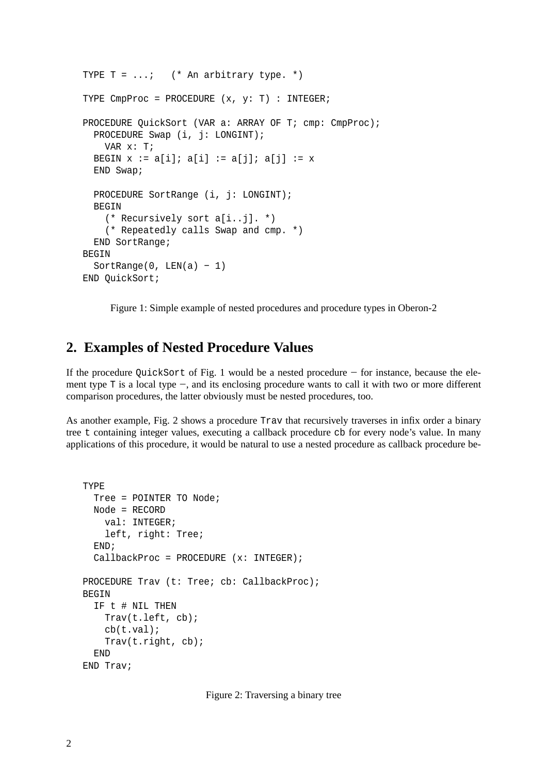```
TYPE T = ...; (* An arbitrary type. *)
TYPE CmpProc = PROCEDURE (x, y: T) : INTEGER;
PROCEDURE QuickSort (VAR a: ARRAY OF T; cmp: CmpProc);
  PROCEDURE Swap (i, j: LONGINT);
   VAR x: T;
  BEGIN x := a[i]; a[i] := a[j]; a[j] := xEND Swap;
  PROCEDURE SortRange (i, j: LONGINT);
  BEGIN
   (* Recursively sort a[i..j]. *)
    (* Repeatedly calls Swap and cmp. *)
  END SortRange;
BEGIN
 SortRange(0, LEN(a) - 1)
END QuickSort;
```
Figure 1: Simple example of nested procedures and procedure types in Oberon-2

## **2. Examples of Nested Procedure Values**

If the procedure QuickSort of Fig. 1 would be a nested procedure −− for instance, because the element type T is a local type −−, and its enclosing procedure wants to call it with two or more different comparison procedures, the latter obviously must be nested procedures, too.

As another example, Fig. 2 shows a procedure Trav that recursively traverses in infix order a binary tree t containing integer values, executing a callback procedure cb for every node's value. In many applications of this procedure, it would be natural to use a nested procedure as callback procedure be-

```
TYPE
 Tree = POINTER TO Node;
 Node = RECORD
    val: INTEGER;
   left, right: Tree;
  END;
  CallbackProc = PROCEDURE (x: INTEGER);
PROCEDURE Trav (t: Tree; cb: CallbackProc);
BEGIN
  IF t # NIL THEN
    Trav(t.left, cb);
    cb(t.val);
    Trav(t.right, cb);
  END
END Trav;
```
Figure 2: Traversing a binary tree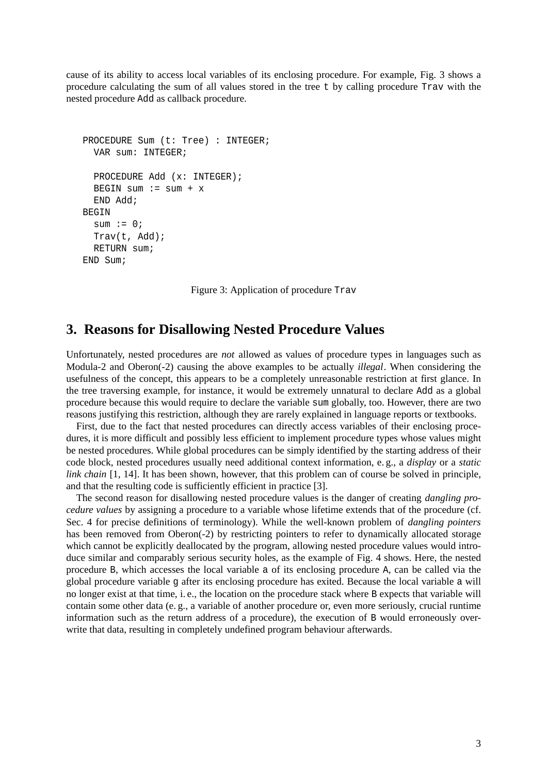cause of its ability to access local variables of its enclosing procedure. For example, Fig. 3 shows a procedure calculating the sum of all values stored in the tree t by calling procedure Trav with the nested procedure Add as callback procedure.

```
PROCEDURE Sum (t: Tree) : INTEGER;
  VAR sum: INTEGER;
  PROCEDURE Add (x: INTEGER);
  BEGIN sum := sum + x
  END Add;
BEGIN
  sum := 0;Trav(t, Add);
  RETURN sum;
END Sum;
```
Figure 3: Application of procedure Trav

#### **3. Reasons for Disallowing Nested Procedure Values**

Unfortunately, nested procedures are *not* allowed as values of procedure types in languages such as Modula-2 and Oberon(-2) causing the above examples to be actually *illegal*. When considering the usefulness of the concept, this appears to be a completely unreasonable restriction at first glance. In the tree traversing example, for instance, it would be extremely unnatural to declare Add as a global procedure because this would require to declare the variable sum globally, too. However, there are two reasons justifying this restriction, although they are rarely explained in language reports or textbooks.

First, due to the fact that nested procedures can directly access variables of their enclosing procedures, it is more difficult and possibly less efficient to implement procedure types whose values might be nested procedures. While global procedures can be simply identified by the starting address of their code block, nested procedures usually need additional context information, e. g., a *display* or a *static link chain* [1, 14]. It has been shown, however, that this problem can of course be solved in principle, and that the resulting code is sufficiently efficient in practice [3].

The second reason for disallowing nested procedure values is the danger of creating *dangling procedure values* by assigning a procedure to a variable whose lifetime extends that of the procedure (cf. Sec. 4 for precise definitions of terminology). While the well-known problem of *dangling pointers* has been removed from Oberon(-2) by restricting pointers to refer to dynamically allocated storage which cannot be explicitly deallocated by the program, allowing nested procedure values would introduce similar and comparably serious security holes, as the example of Fig. 4 shows. Here, the nested procedure B, which accesses the local variable a of its enclosing procedure A, can be called via the global procedure variable g after its enclosing procedure has exited. Because the local variable a will no longer exist at that time, i. e., the location on the procedure stack where B expects that variable will contain some other data (e. g., a variable of another procedure or, even more seriously, crucial runtime information such as the return address of a procedure), the execution of B would erroneously overwrite that data, resulting in completely undefined program behaviour afterwards.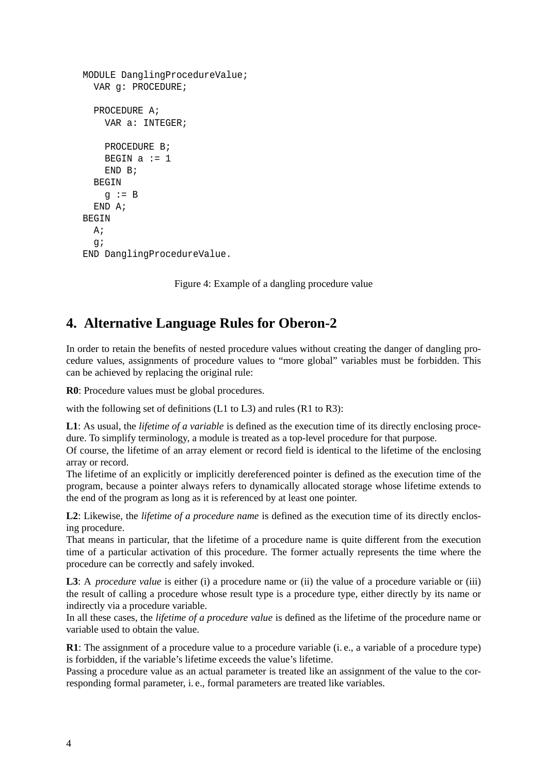```
MODULE DanglingProcedureValue;
  VAR g: PROCEDURE;
  PROCEDURE A;
    VAR a: INTEGER;
    PROCEDURE B;
    BEGIN a := 1END B;
  BEGIN
    g := B
  END A;
BEGIN
 A;
  g;
END DanglingProcedureValue.
```
Figure 4: Example of a dangling procedure value

## **4. Alternative Language Rules for Oberon-2**

In order to retain the benefits of nested procedure values without creating the danger of dangling procedure values, assignments of procedure values to "more global" variables must be forbidden. This can be achieved by replacing the original rule:

**R0**: Procedure values must be global procedures.

with the following set of definitions (L1 to L3) and rules (R1 to R3):

**L1**: As usual, the *lifetime of a variable* is defined as the execution time of its directly enclosing procedure. To simplify terminology, a module is treated as a top-level procedure for that purpose.

Of course, the lifetime of an array element or record field is identical to the lifetime of the enclosing array or record.

The lifetime of an explicitly or implicitly dereferenced pointer is defined as the execution time of the program, because a pointer always refers to dynamically allocated storage whose lifetime extends to the end of the program as long as it is referenced by at least one pointer.

**L2**: Likewise, the *lifetime of a procedure name* is defined as the execution time of its directly enclosing procedure.

That means in particular, that the lifetime of a procedure name is quite different from the execution time of a particular activation of this procedure. The former actually represents the time where the procedure can be correctly and safely invoked.

**L3**: A *procedure value* is either (i) a procedure name or (ii) the value of a procedure variable or (iii) the result of calling a procedure whose result type is a procedure type, either directly by its name or indirectly via a procedure variable.

In all these cases, the *lifetime of a procedure value* is defined as the lifetime of the procedure name or variable used to obtain the value.

**R1**: The assignment of a procedure value to a procedure variable (i.e., a variable of a procedure type) is forbidden, if the variable's lifetime exceeds the value's lifetime.

Passing a procedure value as an actual parameter is treated like an assignment of the value to the corresponding formal parameter, i. e., formal parameters are treated like variables.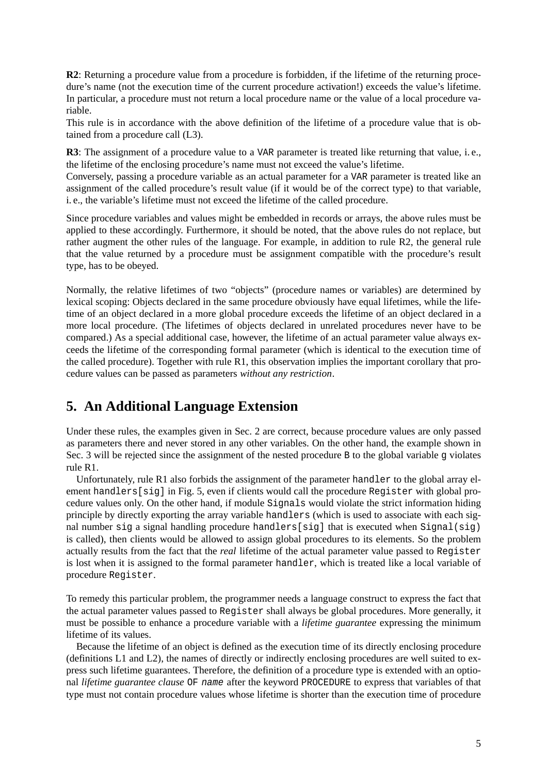**R2**: Returning a procedure value from a procedure is forbidden, if the lifetime of the returning procedure's name (not the execution time of the current procedure activation!) exceeds the value's lifetime. In particular, a procedure must not return a local procedure name or the value of a local procedure variable.

This rule is in accordance with the above definition of the lifetime of a procedure value that is obtained from a procedure call (L3).

**R3**: The assignment of a procedure value to a VAR parameter is treated like returning that value, i.e., the lifetime of the enclosing procedure's name must not exceed the value's lifetime.

Conversely, passing a procedure variable as an actual parameter for a VAR parameter is treated like an assignment of the called procedure's result value (if it would be of the correct type) to that variable, i. e., the variable's lifetime must not exceed the lifetime of the called procedure.

Since procedure variables and values might be embedded in records or arrays, the above rules must be applied to these accordingly. Furthermore, it should be noted, that the above rules do not replace, but rather augment the other rules of the language. For example, in addition to rule R2, the general rule that the value returned by a procedure must be assignment compatible with the procedure's result type, has to be obeyed.

Normally, the relative lifetimes of two "objects" (procedure names or variables) are determined by lexical scoping: Objects declared in the same procedure obviously have equal lifetimes, while the lifetime of an object declared in a more global procedure exceeds the lifetime of an object declared in a more local procedure. (The lifetimes of objects declared in unrelated procedures never have to be compared.) As a special additional case, however, the lifetime of an actual parameter value always exceeds the lifetime of the corresponding formal parameter (which is identical to the execution time of the called procedure). Together with rule R1, this observation implies the important corollary that procedure values can be passed as parameters *without any restriction*.

### **5. An Additional Language Extension**

Under these rules, the examples given in Sec. 2 are correct, because procedure values are only passed as parameters there and never stored in any other variables. On the other hand, the example shown in Sec. 3 will be rejected since the assignment of the nested procedure B to the global variable g violates rule R1.

Unfortunately, rule R1 also forbids the assignment of the parameter handler to the global array element handlers[sig] in Fig. 5, even if clients would call the procedure Register with global procedure values only. On the other hand, if module Signals would violate the strict information hiding principle by directly exporting the array variable handlers (which is used to associate with each signal number sig a signal handling procedure handlers[sig] that is executed when Signal(sig) is called), then clients would be allowed to assign global procedures to its elements. So the problem actually results from the fact that the *real* lifetime of the actual parameter value passed to Register is lost when it is assigned to the formal parameter handler, which is treated like a local variable of procedure Register.

To remedy this particular problem, the programmer needs a language construct to express the fact that the actual parameter values passed to Register shall always be global procedures. More generally, it must be possible to enhance a procedure variable with a *lifetime guarantee* expressing the minimum lifetime of its values.

Because the lifetime of an object is defined as the execution time of its directly enclosing procedure (definitions L1 and L2), the names of directly or indirectly enclosing procedures are well suited to express such lifetime guarantees. Therefore, the definition of a procedure type is extended with an optional *lifetime guarantee clause* OF name after the keyword PROCEDURE to express that variables of that type must not contain procedure values whose lifetime is shorter than the execution time of procedure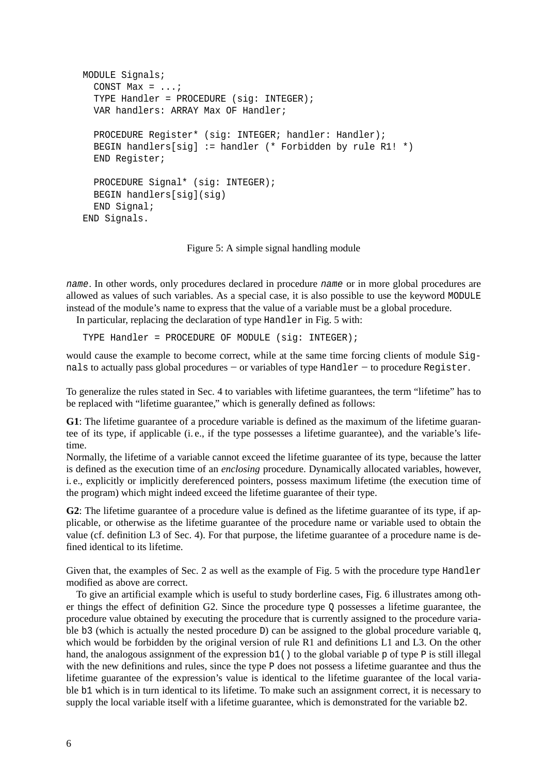```
MODULE Signals;
  CONST Max = \dots;
  TYPE Handler = PROCEDURE (sig: INTEGER);
  VAR handlers: ARRAY Max OF Handler;
  PROCEDURE Register* (sig: INTEGER; handler: Handler);
  BEGIN handlers[sig] := handler (* Forbidden by rule R1! *)
  END Register;
  PROCEDURE Signal* (sig: INTEGER);
  BEGIN handlers[sig](sig)
  END Signal;
END Signals.
```
Figure 5: A simple signal handling module

name. In other words, only procedures declared in procedure name or in more global procedures are allowed as values of such variables. As a special case, it is also possible to use the keyword MODULE instead of the module's name to express that the value of a variable must be a global procedure.

In particular, replacing the declaration of type Handler in Fig. 5 with:

TYPE Handler = PROCEDURE OF MODULE (sig: INTEGER);

would cause the example to become correct, while at the same time forcing clients of module Signals to actually pass global procedures – or variables of type Handler – to procedure Register.

To generalize the rules stated in Sec. 4 to variables with lifetime guarantees, the term "lifetime" has to be replaced with "lifetime guarantee," which is generally defined as follows:

**G1**: The lifetime guarantee of a procedure variable is defined as the maximum of the lifetime guarantee of its type, if applicable (i. e., if the type possesses a lifetime guarantee), and the variable's lifetime.

Normally, the lifetime of a variable cannot exceed the lifetime guarantee of its type, because the latter is defined as the execution time of an *enclosing* procedure. Dynamically allocated variables, however, i. e., explicitly or implicitly dereferenced pointers, possess maximum lifetime (the execution time of the program) which might indeed exceed the lifetime guarantee of their type.

**G2**: The lifetime guarantee of a procedure value is defined as the lifetime guarantee of its type, if applicable, or otherwise as the lifetime guarantee of the procedure name or variable used to obtain the value (cf. definition L3 of Sec. 4). For that purpose, the lifetime guarantee of a procedure name is defined identical to its lifetime.

Given that, the examples of Sec. 2 as well as the example of Fig. 5 with the procedure type Handler modified as above are correct.

To give an artificial example which is useful to study borderline cases, Fig. 6 illustrates among other things the effect of definition G2. Since the procedure type  $Q$  possesses a lifetime guarantee, the procedure value obtained by executing the procedure that is currently assigned to the procedure variable b3 (which is actually the nested procedure D) can be assigned to the global procedure variable q, which would be forbidden by the original version of rule R1 and definitions L1 and L3. On the other hand, the analogous assignment of the expression  $b1()$  to the global variable p of type P is still illegal with the new definitions and rules, since the type P does not possess a lifetime guarantee and thus the lifetime guarantee of the expression's value is identical to the lifetime guarantee of the local variable b1 which is in turn identical to its lifetime. To make such an assignment correct, it is necessary to supply the local variable itself with a lifetime guarantee, which is demonstrated for the variable b2.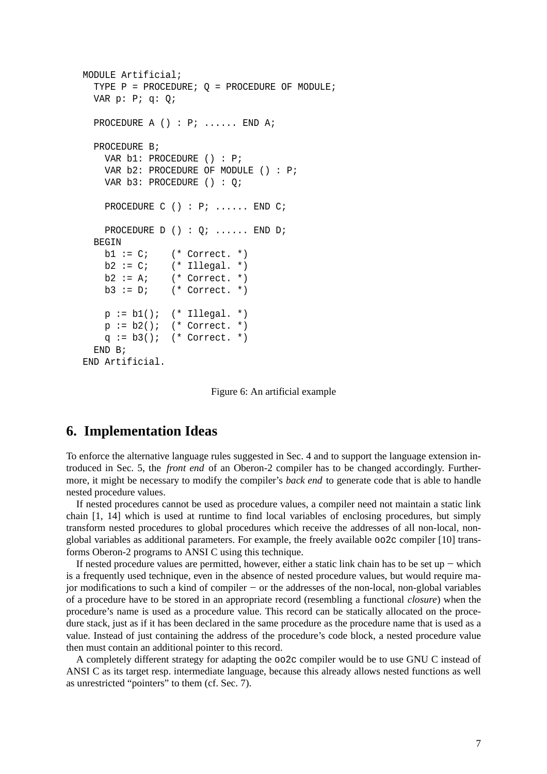```
MODULE Artificial;
  TYPE P = \text{PROCEDURE}; Q = \text{PROCEDURE OF MODULE};
  VAR p: P; q: Q;
  PROCEDURE A () : P; ...... END A;
  PROCEDURE B;
    VAR b1: PROCEDURE () : P;
    VAR b2: PROCEDURE OF MODULE () : P;
   VAR b3: PROCEDURE () : Q;
    PROCEDURE C () : P; ...... END C;
    PROCEDURE D () : Q; ...... END D;
  BEGIN
   b1 := C; (* Correct. *)
   b2 := C; (* Illegal. *)
   b2 := Ai (* Correct. *)
   b3 := D; (* Correct. *)
    p := b1(); (* Illegal. *)
    p := b2(); (* Correct. *)
    q := b3(); (* Correct. *)
  END B;
END Artificial.
```
Figure 6: An artificial example

### **6. Implementation Ideas**

To enforce the alternative language rules suggested in Sec. 4 and to support the language extension introduced in Sec. 5, the *front end* of an Oberon-2 compiler has to be changed accordingly. Furthermore, it might be necessary to modify the compiler's *back end* to generate code that is able to handle nested procedure values.

If nested procedures cannot be used as procedure values, a compiler need not maintain a static link chain [1, 14] which is used at runtime to find local variables of enclosing procedures, but simply transform nested procedures to global procedures which receive the addresses of all non-local, nonglobal variables as additional parameters. For example, the freely available oo2c compiler [10] transforms Oberon-2 programs to ANSI C using this technique.

If nested procedure values are permitted, however, either a static link chain has to be set up −− which is a frequently used technique, even in the absence of nested procedure values, but would require major modifications to such a kind of compiler −− or the addresses of the non-local, non-global variables of a procedure have to be stored in an appropriate record (resembling a functional *closure*) when the procedure's name is used as a procedure value. This record can be statically allocated on the procedure stack, just as if it has been declared in the same procedure as the procedure name that is used as a value. Instead of just containing the address of the procedure's code block, a nested procedure value then must contain an additional pointer to this record.

A completely different strategy for adapting the oo2c compiler would be to use GNU C instead of ANSI C as its target resp. intermediate language, because this already allows nested functions as well as unrestricted "pointers" to them (cf. Sec. 7).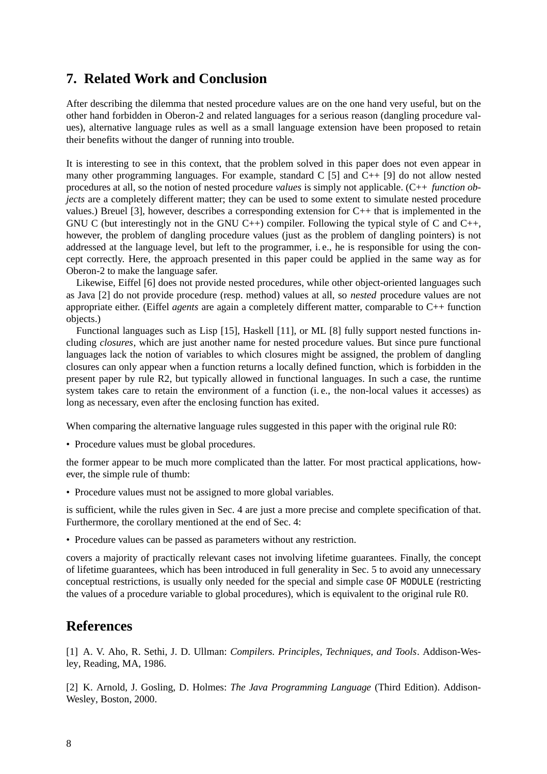## **7. Related Work and Conclusion**

After describing the dilemma that nested procedure values are on the one hand very useful, but on the other hand forbidden in Oberon-2 and related languages for a serious reason (dangling procedure values), alternative language rules as well as a small language extension have been proposed to retain their benefits without the danger of running into trouble.

It is interesting to see in this context, that the problem solved in this paper does not even appear in many other programming languages. For example, standard C [5] and C++ [9] do not allow nested procedures at all, so the notion of nested procedure *values* is simply not applicable. (C++ *function objects* are a completely different matter; they can be used to some extent to simulate nested procedure values.) Breuel [3], however, describes a corresponding extension for C++ that is implemented in the GNU C (but interestingly not in the GNU C++) compiler. Following the typical style of C and C++, however, the problem of dangling procedure values (just as the problem of dangling pointers) is not addressed at the language level, but left to the programmer, i. e., he is responsible for using the concept correctly. Here, the approach presented in this paper could be applied in the same way as for Oberon-2 to make the language safer.

Likewise, Eiffel [6] does not provide nested procedures, while other object-oriented languages such as Java [2] do not provide procedure (resp. method) values at all, so *nested* procedure values are not appropriate either. (Eiffel *agents* are again a completely different matter, comparable to C++ function objects.)

Functional languages such as Lisp [15], Haskell [11], or ML [8] fully support nested functions including *closures*, which are just another name for nested procedure values. But since pure functional languages lack the notion of variables to which closures might be assigned, the problem of dangling closures can only appear when a function returns a locally defined function, which is forbidden in the present paper by rule R2, but typically allowed in functional languages. In such a case, the runtime system takes care to retain the environment of a function (i. e., the non-local values it accesses) as long as necessary, even after the enclosing function has exited.

When comparing the alternative language rules suggested in this paper with the original rule R0:

• Procedure values must be global procedures.

the former appear to be much more complicated than the latter. For most practical applications, however, the simple rule of thumb:

• Procedure values must not be assigned to more global variables.

is sufficient, while the rules given in Sec. 4 are just a more precise and complete specification of that. Furthermore, the corollary mentioned at the end of Sec. 4:

• Procedure values can be passed as parameters without any restriction.

covers a majority of practically relevant cases not involving lifetime guarantees. Finally, the concept of lifetime guarantees, which has been introduced in full generality in Sec. 5 to avoid any unnecessary conceptual restrictions, is usually only needed for the special and simple case OF MODULE (restricting the values of a procedure variable to global procedures), which is equivalent to the original rule R0.

### **References**

[1] A. V. Aho, R. Sethi, J. D. Ullman: *Compilers. Principles, Techniques, and Tools*. Addison-Wesley, Reading, MA, 1986.

[2] K. Arnold, J. Gosling, D. Holmes: *The Java Programming Language* (Third Edition). Addison-Wesley, Boston, 2000.